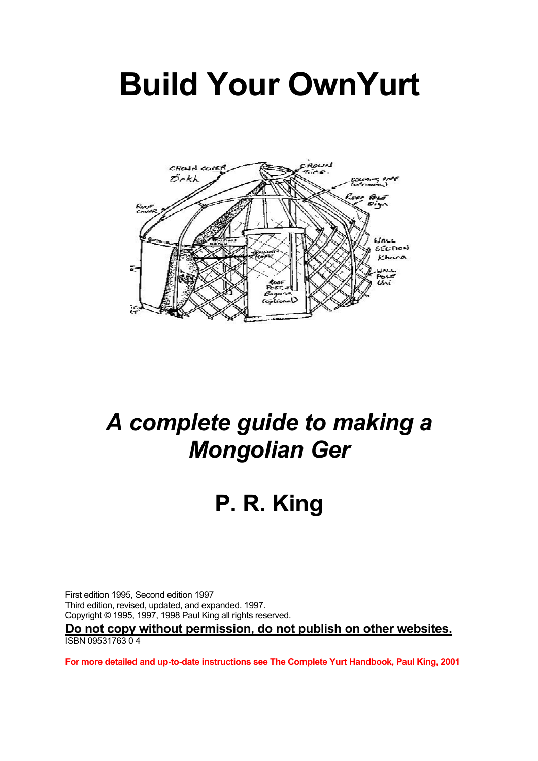# **Build Your OwnYurt**



## *A complete guide to making a Mongolian Ger*

# **P. R. King**

First edition 1995, Second edition 1997 Third edition, revised, updated, and expanded. 1997. Copyright © 1995, 1997, 1998 Paul King all rights reserved. **Do not copy without permission, do not publish on other websites.** ISBN 09531763 0 4

**For more detailed and up-to-date instructions see The Complete Yurt Handbook, Paul King, 2001**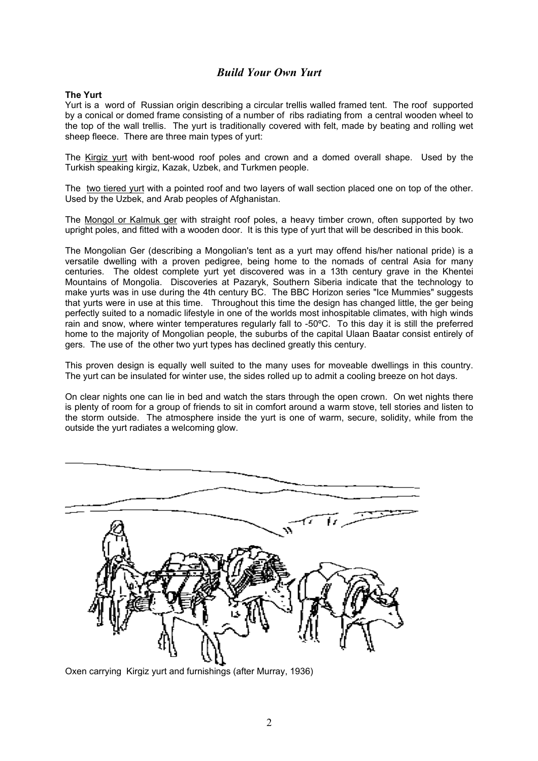### *Build Your Own Yurt*

#### **The Yurt**

Yurt is a word of Russian origin describing a circular trellis walled framed tent. The roof supported by a conical or domed frame consisting of a number of ribs radiating from a central wooden wheel to the top of the wall trellis. The yurt is traditionally covered with felt, made by beating and rolling wet sheep fleece. There are three main types of yurt:

The Kirgiz yurt with bent-wood roof poles and crown and a domed overall shape. Used by the Turkish speaking kirgiz, Kazak, Uzbek, and Turkmen people.

The two tiered yurt with a pointed roof and two layers of wall section placed one on top of the other. Used by the Uzbek, and Arab peoples of Afghanistan.

The Mongol or Kalmuk ger with straight roof poles, a heavy timber crown, often supported by two upright poles, and fitted with a wooden door. It is this type of yurt that will be described in this book.

The Mongolian Ger (describing a Mongolian's tent as a yurt may offend his/her national pride) is a versatile dwelling with a proven pedigree, being home to the nomads of central Asia for many centuries. The oldest complete yurt yet discovered was in a 13th century grave in the Khentei Mountains of Mongolia. Discoveries at Pazaryk, Southern Siberia indicate that the technology to make yurts was in use during the 4th century BC. The BBC Horizon series "Ice Mummies" suggests that yurts were in use at this time. Throughout this time the design has changed little, the ger being perfectly suited to a nomadic lifestyle in one of the worlds most inhospitable climates, with high winds rain and snow, where winter temperatures regularly fall to -50ºC. To this day it is still the preferred home to the majority of Mongolian people, the suburbs of the capital Ulaan Baatar consist entirely of gers. The use of the other two yurt types has declined greatly this century.

This proven design is equally well suited to the many uses for moveable dwellings in this country. The yurt can be insulated for winter use, the sides rolled up to admit a cooling breeze on hot days.

On clear nights one can lie in bed and watch the stars through the open crown. On wet nights there is plenty of room for a group of friends to sit in comfort around a warm stove, tell stories and listen to the storm outside. The atmosphere inside the yurt is one of warm, secure, solidity, while from the outside the yurt radiates a welcoming glow.



Oxen carrying Kirgiz yurt and furnishings (after Murray, 1936)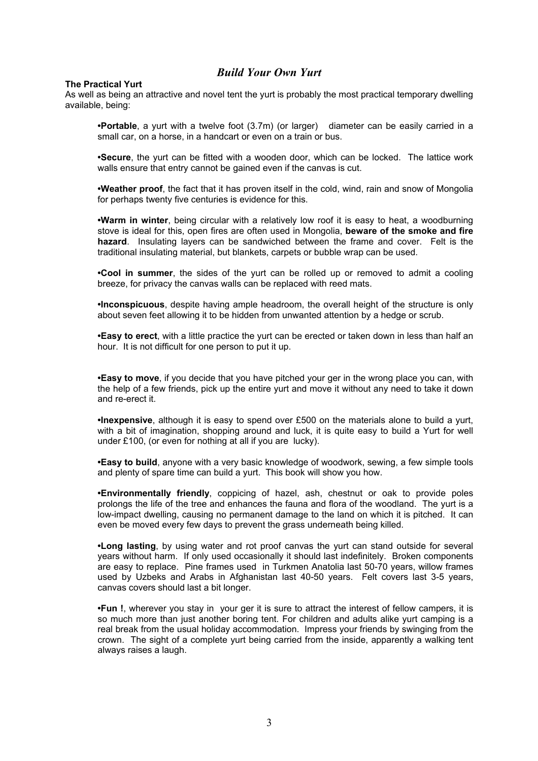### *Build Your Own Yurt*

#### **The Practical Yurt**

As well as being an attractive and novel tent the yurt is probably the most practical temporary dwelling available, being:

 **•Portable**, a yurt with a twelve foot (3.7m) (or larger) diameter can be easily carried in a small car, on a horse, in a handcart or even on a train or bus.

 **•Secure**, the yurt can be fitted with a wooden door, which can be locked. The lattice work walls ensure that entry cannot be gained even if the canvas is cut.

 **•Weather proof**, the fact that it has proven itself in the cold, wind, rain and snow of Mongolia for perhaps twenty five centuries is evidence for this.

**•Warm in winter**, being circular with a relatively low roof it is easy to heat, a woodburning stove is ideal for this, open fires are often used in Mongolia, **beware of the smoke and fire hazard**. Insulating layers can be sandwiched between the frame and cover. Felt is the traditional insulating material, but blankets, carpets or bubble wrap can be used.

**•Cool in summer**, the sides of the yurt can be rolled up or removed to admit a cooling breeze, for privacy the canvas walls can be replaced with reed mats.

 **•Inconspicuous**, despite having ample headroom, the overall height of the structure is only about seven feet allowing it to be hidden from unwanted attention by a hedge or scrub.

 **•Easy to erect**, with a little practice the yurt can be erected or taken down in less than half an hour. It is not difficult for one person to put it up.

 **•Easy to move**, if you decide that you have pitched your ger in the wrong place you can, with the help of a few friends, pick up the entire yurt and move it without any need to take it down and re-erect it.

 **•Inexpensive**, although it is easy to spend over £500 on the materials alone to build a yurt, with a bit of imagination, shopping around and luck, it is quite easy to build a Yurt for well under £100, (or even for nothing at all if you are lucky).

 **•Easy to build**, anyone with a very basic knowledge of woodwork, sewing, a few simple tools and plenty of spare time can build a yurt. This book will show you how.

 **•Environmentally friendly**, coppicing of hazel, ash, chestnut or oak to provide poles prolongs the life of the tree and enhances the fauna and flora of the woodland. The yurt is a low-impact dwelling, causing no permanent damage to the land on which it is pitched. It can even be moved every few days to prevent the grass underneath being killed.

 **•Long lasting**, by using water and rot proof canvas the yurt can stand outside for several years without harm. If only used occasionally it should last indefinitely. Broken components are easy to replace. Pine frames used in Turkmen Anatolia last 50-70 years, willow frames used by Uzbeks and Arabs in Afghanistan last 40-50 years. Felt covers last 3-5 years, canvas covers should last a bit longer.

 **•Fun !**, wherever you stay in your ger it is sure to attract the interest of fellow campers, it is so much more than just another boring tent. For children and adults alike yurt camping is a real break from the usual holiday accommodation. Impress your friends by swinging from the crown. The sight of a complete yurt being carried from the inside, apparently a walking tent always raises a laugh.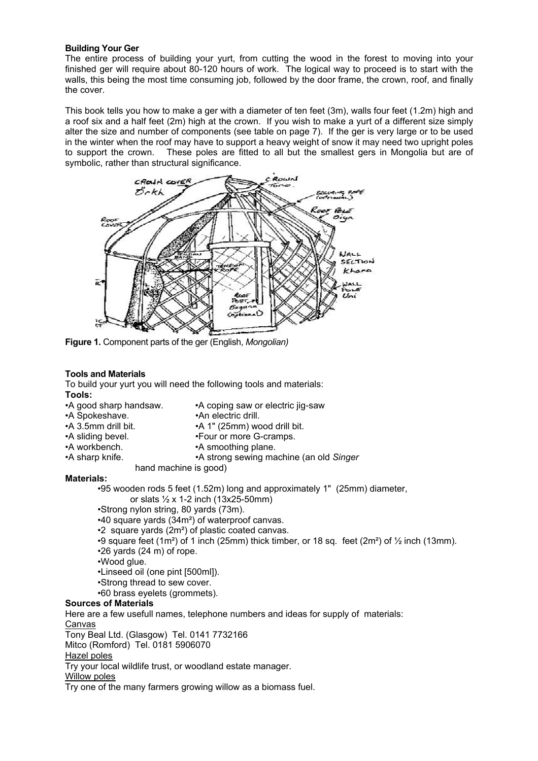#### **Building Your Ger**

The entire process of building your yurt, from cutting the wood in the forest to moving into your finished ger will require about 80-120 hours of work. The logical way to proceed is to start with the walls, this being the most time consuming job, followed by the door frame, the crown, roof, and finally the cover.

This book tells you how to make a ger with a diameter of ten feet (3m), walls four feet (1.2m) high and a roof six and a half feet (2m) high at the crown. If you wish to make a yurt of a different size simply alter the size and number of components (see table on page 7). If the ger is very large or to be used in the winter when the roof may have to support a heavy weight of snow it may need two upright poles to support the crown. These poles are fitted to all but the smallest gers in Mongolia but are of symbolic, rather than structural significance.



**Figure 1.** Component parts of the ger (English, *Mongolian)*

#### **Tools and Materials**

To build your yurt you will need the following tools and materials: **Tools:**

- •A good sharp handsaw. •A coping saw or electric jig-saw
- •A Spokeshave. •An electric drill.
- •A 3.5mm drill bit. •A 1" (25mm) wood drill bit.
- •A sliding bevel. •Four or more G-cramps.
- •A workbench. •A smoothing plane.
- •A sharp knife. •A strong sewing machine (an old *Singer* 
	- hand machine is good)

#### **Materials:**

•95 wooden rods 5 feet (1.52m) long and approximately 1" (25mm) diameter,

or slats ½ x 1-2 inch (13x25-50mm)

- •Strong nylon string, 80 yards (73m).
- •40 square yards (34m²) of waterproof canvas.
- •2 square yards (2m²) of plastic coated canvas.
- •9 square feet  $(1m^2)$  of 1 inch (25mm) thick timber, or 18 sq. feet  $(2m^2)$  of  $\frac{1}{2}$  inch (13mm).
- •26 yards (24 m) of rope.
- •Wood glue.
- •Linseed oil (one pint [500ml]).
- •Strong thread to sew cover.
- •60 brass eyelets (grommets).

#### **Sources of Materials**

Here are a few usefull names, telephone numbers and ideas for supply of materials: Canvas

Tony Beal Ltd. (Glasgow) Tel. 0141 7732166

Mitco (Romford) Tel. 0181 5906070

#### Hazel poles

Try your local wildlife trust, or woodland estate manager.

Willow poles

Try one of the many farmers growing willow as a biomass fuel.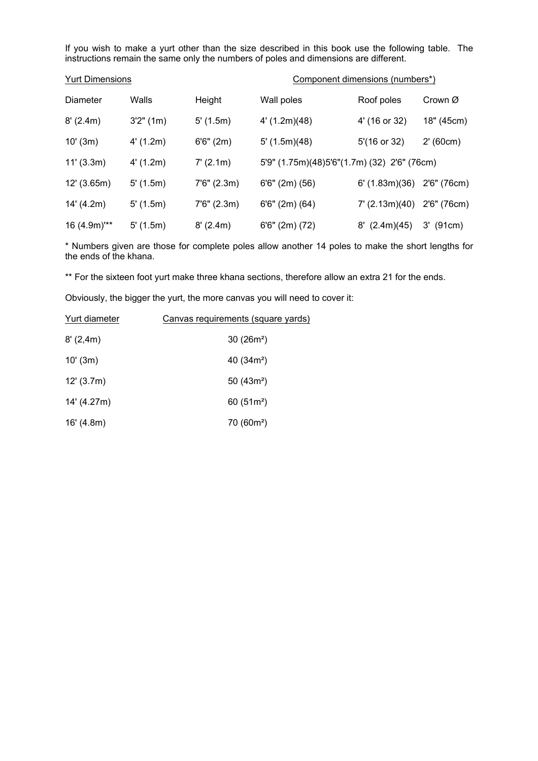If you wish to make a yurt other than the size described in this book use the following table. The instructions remain the same only the numbers of poles and dimensions are different.

| <b>Yurt Dimensions</b> |           |              | Component dimensions (numbers*)             |                  |             |
|------------------------|-----------|--------------|---------------------------------------------|------------------|-------------|
| Diameter               | Walls     | Height       | Wall poles                                  | Roof poles       | Crown Ø     |
| 8'(2.4m)               | 3'2''(1m) | 5'(1.5m)     | 4'(1.2m)(48)                                | 4' (16 or 32)    | 18" (45cm)  |
| 10' (3m)               | 4'(1.2m)  | 6'6''(2m)    | 5'(1.5m)(48)                                | 5'(16 or 32)     | 2' (60cm)   |
| 11' (3.3m)             | 4'(1.2m)  | 7' (2.1m)    | 5'9" (1.75m)(48)5'6"(1.7m) (32) 2'6" (76cm) |                  |             |
| 12' (3.65m)            | 5'(1.5m)  | 7'6'' (2.3m) | $6'6''$ (2m) (56)                           | 6'(1.83m)(36)    | 2'6" (76cm) |
| 14' (4.2m)             | 5'(1.5m)  | 7'6'' (2.3m) | $6'6''$ (2m) (64)                           | $7'$ (2.13m)(40) | 2'6" (76cm) |
| 16 (4.9m)"**           | 5'(1.5m)  | 8' (2.4m)    | $6'6''$ (2m) (72)                           | $8'$ (2.4m)(45)  | $3'$ (91cm) |

\* Numbers given are those for complete poles allow another 14 poles to make the short lengths for the ends of the khana.

\*\* For the sixteen foot yurt make three khana sections, therefore allow an extra 21 for the ends.

Obviously, the bigger the yurt, the more canvas you will need to cover it:

| Yurt diameter | Canvas requirements (square yards) |  |  |
|---------------|------------------------------------|--|--|
| 8'(2,4m)      | $30(26m^2)$                        |  |  |
| 10'(3m)       | $40(34m^2)$                        |  |  |
| 12' (3.7m)    | $50(43m^2)$                        |  |  |
| 14' (4.27m)   | $60(51m^2)$                        |  |  |
| 16' (4.8m)    | $70(60m^2)$                        |  |  |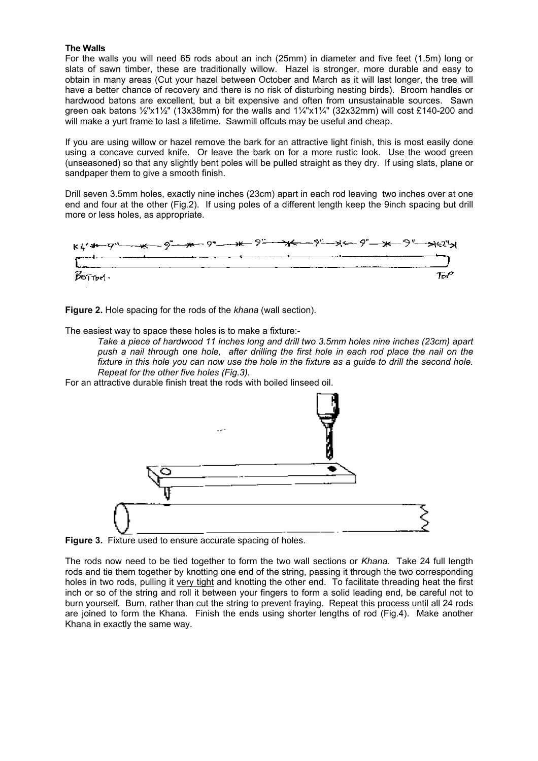#### **The Walls**

For the walls you will need 65 rods about an inch (25mm) in diameter and five feet (1.5m) long or slats of sawn timber, these are traditionally willow. Hazel is stronger, more durable and easy to obtain in many areas (Cut your hazel between October and March as it will last longer, the tree will have a better chance of recovery and there is no risk of disturbing nesting birds). Broom handles or hardwood batons are excellent, but a bit expensive and often from unsustainable sources. Sawn green oak batons ½"x1½" (13x38mm) for the walls and 1¼"x1¼" (32x32mm) will cost £140-200 and will make a yurt frame to last a lifetime. Sawmill offcuts may be useful and cheap.

If you are using willow or hazel remove the bark for an attractive light finish, this is most easily done using a concave curved knife. Or leave the bark on for a more rustic look. Use the wood green (unseasoned) so that any slightly bent poles will be pulled straight as they dry. If using slats, plane or sandpaper them to give a smooth finish.

Drill seven 3.5mm holes, exactly nine inches (23cm) apart in each rod leaving two inches over at one end and four at the other (Fig.2). If using poles of a different length keep the 9inch spacing but drill more or less holes, as appropriate.



**Figure 2.** Hole spacing for the rods of the *khana* (wall section).

The easiest way to space these holes is to make a fixture:-

*Take a piece of hardwood 11 inches long and drill two 3.5mm holes nine inches (23cm) apart push a nail through one hole, after drilling the first hole in each rod place the nail on the fixture in this hole you can now use the hole in the fixture as a guide to drill the second hole. Repeat for the other five holes (Fig.3).* 

For an attractive durable finish treat the rods with boiled linseed oil.



**Figure 3.** Fixture used to ensure accurate spacing of holes.

The rods now need to be tied together to form the two wall sections or *Khana.* Take 24 full length rods and tie them together by knotting one end of the string, passing it through the two corresponding holes in two rods, pulling it very tight and knotting the other end. To facilitate threading heat the first inch or so of the string and roll it between your fingers to form a solid leading end, be careful not to burn yourself. Burn, rather than cut the string to prevent fraying. Repeat this process until all 24 rods are joined to form the Khana*.* Finish the ends using shorter lengths of rod (Fig.4). Make another Khana in exactly the same way.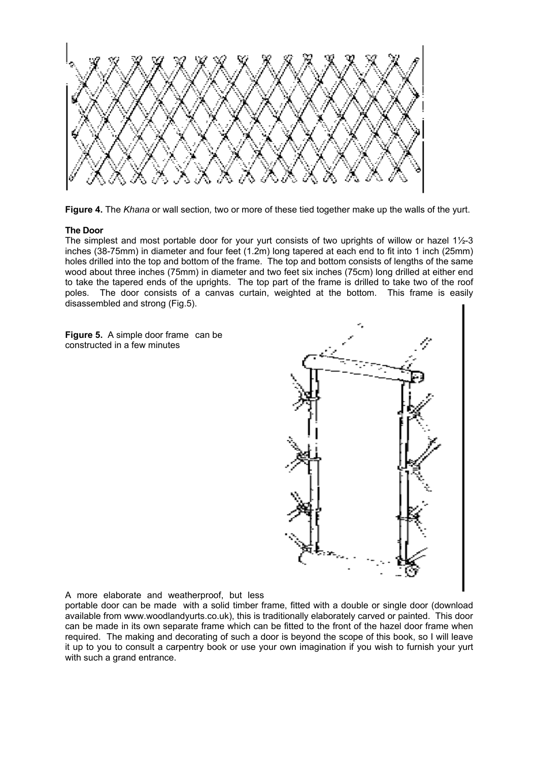

**Figure 4.** The *Khana* or wall section*,* two or more of these tied together make up the walls of the yurt.

#### **The Door**

The simplest and most portable door for your yurt consists of two uprights of willow or hazel 1½-3 inches (38-75mm) in diameter and four feet (1.2m) long tapered at each end to fit into 1 inch (25mm) holes drilled into the top and bottom of the frame. The top and bottom consists of lengths of the same wood about three inches (75mm) in diameter and two feet six inches (75cm) long drilled at either end to take the tapered ends of the uprights. The top part of the frame is drilled to take two of the roof poles. The door consists of a canvas curtain, weighted at the bottom. This frame is easily disassembled and strong (Fig.5).

**Figure 5.** A simple door frame can be constructed in a few minutes



#### A more elaborate and weatherproof, but less

portable door can be made with a solid timber frame, fitted with a double or single door (download available from www.woodlandyurts.co.uk), this is traditionally elaborately carved or painted. This door can be made in its own separate frame which can be fitted to the front of the hazel door frame when required. The making and decorating of such a door is beyond the scope of this book, so I will leave it up to you to consult a carpentry book or use your own imagination if you wish to furnish your yurt with such a grand entrance.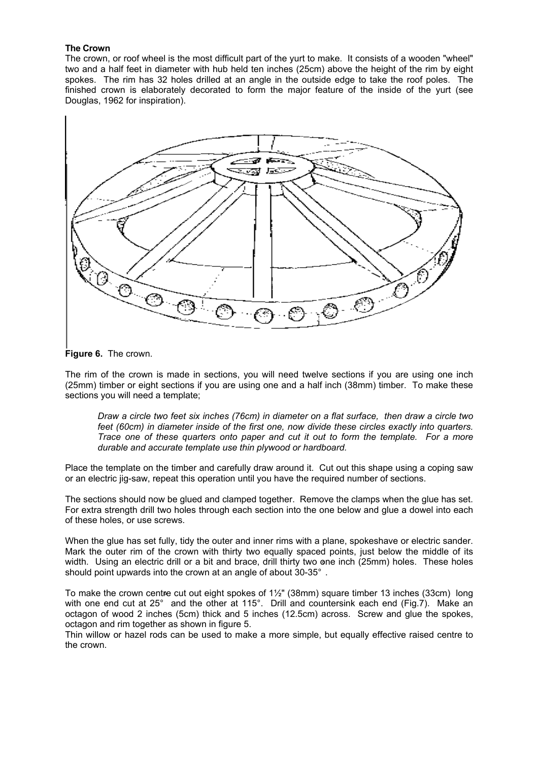#### **The Crown**

The crown, or roof wheel is the most difficult part of the yurt to make. It consists of a wooden "wheel" two and a half feet in diameter with hub held ten inches (25cm) above the height of the rim by eight spokes. The rim has 32 holes drilled at an angle in the outside edge to take the roof poles. The finished crown is elaborately decorated to form the major feature of the inside of the yurt (see Douglas, 1962 for inspiration).



**Figure 6.** The crown.

The rim of the crown is made in sections, you will need twelve sections if you are using one inch (25mm) timber or eight sections if you are using one and a half inch (38mm) timber. To make these sections you will need a template;

*Draw a circle two feet six inches (76cm) in diameter on a flat surface, then draw a circle two feet (60cm) in diameter inside of the first one, now divide these circles exactly into quarters. Trace one of these quarters onto paper and cut it out to form the template. For a more durable and accurate template use thin plywood or hardboard.* 

Place the template on the timber and carefully draw around it. Cut out this shape using a coping saw or an electric jig-saw, repeat this operation until you have the required number of sections.

The sections should now be glued and clamped together. Remove the clamps when the glue has set. For extra strength drill two holes through each section into the one below and glue a dowel into each of these holes, or use screws.

When the glue has set fully, tidy the outer and inner rims with a plane, spokeshave or electric sander. Mark the outer rim of the crown with thirty two equally spaced points, just below the middle of its width. Using an electric drill or a bit and brace, drill thirty two one inch (25mm) holes. These holes wiath. Using an electric drill or a bit and brace, drill thirty two on<br>should point upwards into the crown at an angle of about 30-35°.

To make the crown centre cut out eight spokes of 1½" (38mm) square timber 13 inches (33cm) long To make the crown centife cut out eight spokes or 1%° (38mm) square timber 13 inches (33cm) Tong<br>with one end cut at 25° and the other at 115°. Drill and countersink each end (Fig.7). Make an octagon of wood 2 inches (5cm) thick and 5 inches (12.5cm) across. Screw and glue the spokes, octagon and rim together as shown in figure 5.

Thin willow or hazel rods can be used to make a more simple, but equally effective raised centre to the crown.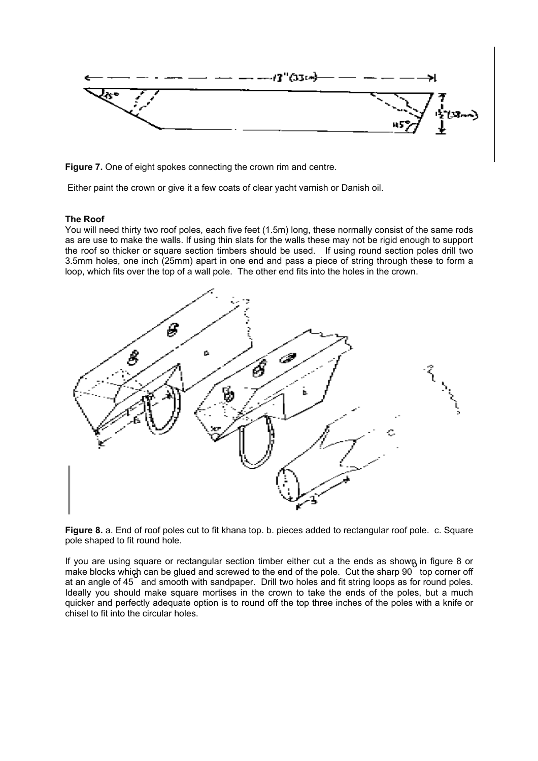

**Figure 7.** One of eight spokes connecting the crown rim and centre.

Either paint the crown or give it a few coats of clear yacht varnish or Danish oil.

#### **The Roof**

You will need thirty two roof poles, each five feet (1.5m) long, these normally consist of the same rods as are use to make the walls. If using thin slats for the walls these may not be rigid enough to support the roof so thicker or square section timbers should be used. If using round section poles drill two 3.5mm holes, one inch (25mm) apart in one end and pass a piece of string through these to form a loop, which fits over the top of a wall pole. The other end fits into the holes in the crown.



**Figure 8.** a. End of roof poles cut to fit khana top. b. pieces added to rectangular roof pole. c. Square pole shaped to fit round hole.

If you are using square or rectangular section timber either cut a the ends as shown in figure 8 or make blocks which can be glued and screwed to the end of the pole. Cut the sharp 90 top corner off at an angle of 45  $\degree$  and smooth with sandpaper. Drill two holes and fit string loops as for round poles. Ideally you should make square mortises in the crown to take the ends of the poles, but a much quicker and perfectly adequate option is to round off the top three inches of the poles with a knife or chisel to fit into the circular holes.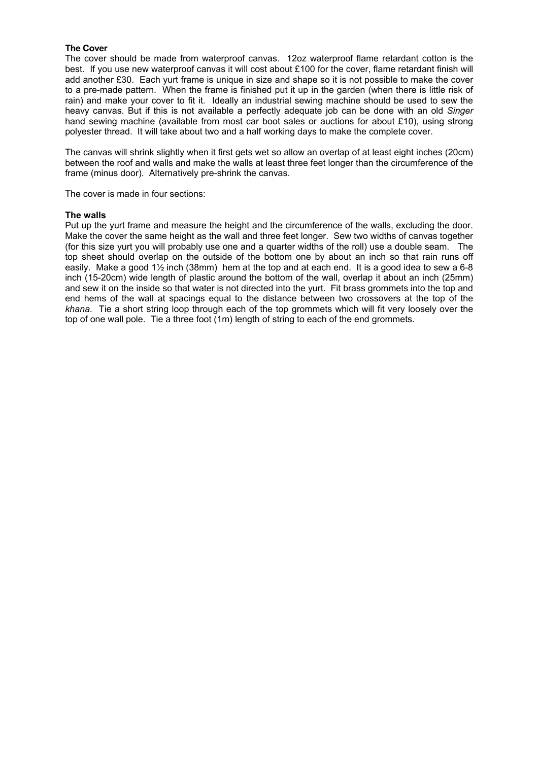#### **The Cover**

The cover should be made from waterproof canvas. 12oz waterproof flame retardant cotton is the best. If you use new waterproof canvas it will cost about £100 for the cover, flame retardant finish will add another £30. Each yurt frame is unique in size and shape so it is not possible to make the cover to a pre-made pattern. When the frame is finished put it up in the garden (when there is little risk of rain) and make your cover to fit it. Ideally an industrial sewing machine should be used to sew the heavy canvas. But if this is not available a perfectly adequate job can be done with an old *Singer* hand sewing machine (available from most car boot sales or auctions for about £10), using strong polyester thread. It will take about two and a half working days to make the complete cover.

The canvas will shrink slightly when it first gets wet so allow an overlap of at least eight inches (20cm) between the roof and walls and make the walls at least three feet longer than the circumference of the frame (minus door). Alternatively pre-shrink the canvas.

The cover is made in four sections:

#### **The walls**

Put up the yurt frame and measure the height and the circumference of the walls, excluding the door. Make the cover the same height as the wall and three feet longer. Sew two widths of canvas together (for this size yurt you will probably use one and a quarter widths of the roll) use a double seam. The top sheet should overlap on the outside of the bottom one by about an inch so that rain runs off easily. Make a good 1½ inch (38mm) hem at the top and at each end. It is a good idea to sew a 6-8 inch (15-20cm) wide length of plastic around the bottom of the wall, overlap it about an inch (25mm) and sew it on the inside so that water is not directed into the yurt. Fit brass grommets into the top and end hems of the wall at spacings equal to the distance between two crossovers at the top of the *khana*. Tie a short string loop through each of the top grommets which will fit very loosely over the top of one wall pole. Tie a three foot (1m) length of string to each of the end grommets.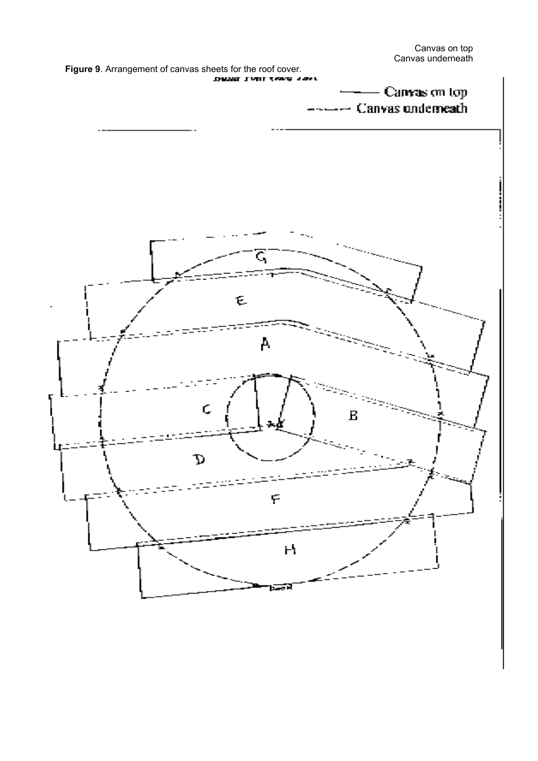Canvas on top Canvas underneath

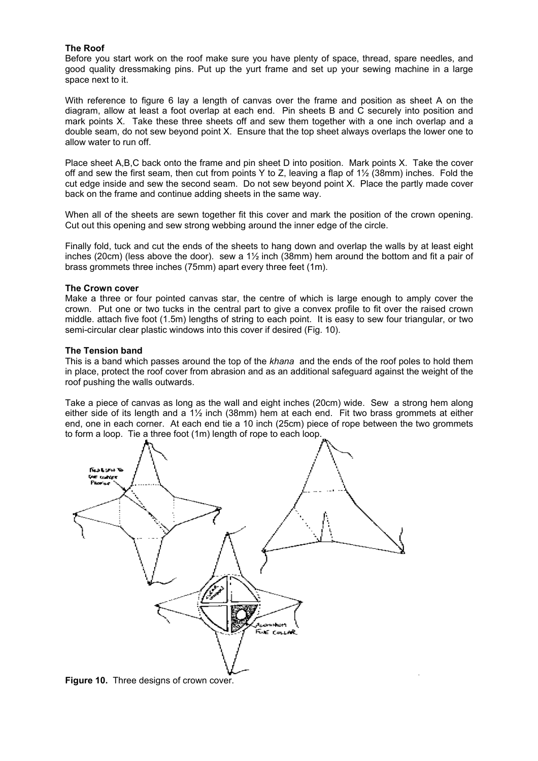#### **The Roof**

Before you start work on the roof make sure you have plenty of space, thread, spare needles, and good quality dressmaking pins. Put up the yurt frame and set up your sewing machine in a large space next to it.

With reference to figure 6 lay a length of canvas over the frame and position as sheet A on the diagram, allow at least a foot overlap at each end. Pin sheets B and C securely into position and mark points X. Take these three sheets off and sew them together with a one inch overlap and a double seam, do not sew beyond point X. Ensure that the top sheet always overlaps the lower one to allow water to run off.

Place sheet A,B,C back onto the frame and pin sheet D into position. Mark points X. Take the cover off and sew the first seam, then cut from points Y to Z, leaving a flap of 1½ (38mm) inches. Fold the cut edge inside and sew the second seam. Do not sew beyond point X. Place the partly made cover back on the frame and continue adding sheets in the same way.

When all of the sheets are sewn together fit this cover and mark the position of the crown opening. Cut out this opening and sew strong webbing around the inner edge of the circle.

Finally fold, tuck and cut the ends of the sheets to hang down and overlap the walls by at least eight inches (20cm) (less above the door). sew a  $1\frac{1}{2}$  inch (38mm) hem around the bottom and fit a pair of brass grommets three inches (75mm) apart every three feet (1m).

#### **The Crown cover**

Make a three or four pointed canvas star, the centre of which is large enough to amply cover the crown. Put one or two tucks in the central part to give a convex profile to fit over the raised crown middle. attach five foot (1.5m) lengths of string to each point. It is easy to sew four triangular, or two semi-circular clear plastic windows into this cover if desired (Fig. 10).

#### **The Tension band**

This is a band which passes around the top of the *khana* and the ends of the roof poles to hold them in place, protect the roof cover from abrasion and as an additional safeguard against the weight of the roof pushing the walls outwards.

Take a piece of canvas as long as the wall and eight inches (20cm) wide. Sew a strong hem along either side of its length and a 1½ inch (38mm) hem at each end. Fit two brass grommets at either end, one in each corner. At each end tie a 10 inch (25cm) piece of rope between the two grommets to form a loop. Tie a three foot (1m) length of rope to each loop.



**Figure 10.** Three designs of crown cover.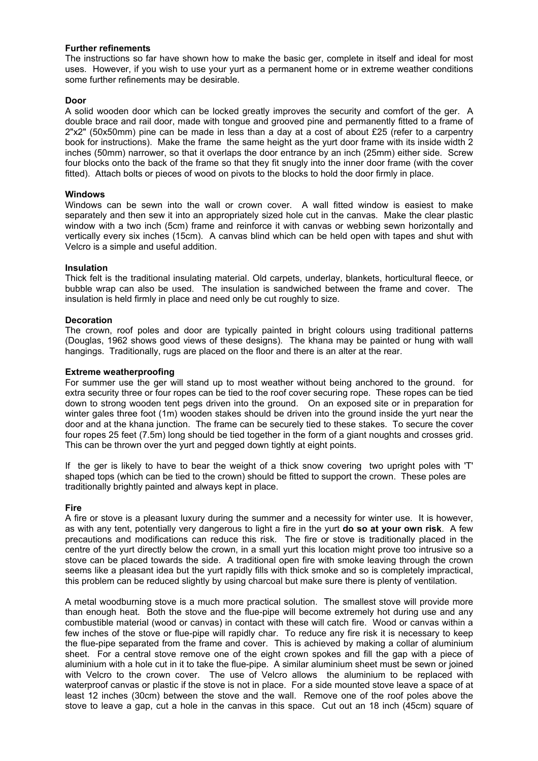#### **Further refinements**

The instructions so far have shown how to make the basic ger, complete in itself and ideal for most uses. However, if you wish to use your yurt as a permanent home or in extreme weather conditions some further refinements may be desirable.

#### **Door**

A solid wooden door which can be locked greatly improves the security and comfort of the ger. A double brace and rail door, made with tongue and grooved pine and permanently fitted to a frame of 2"x2" (50x50mm) pine can be made in less than a day at a cost of about £25 (refer to a carpentry book for instructions). Make the frame the same height as the yurt door frame with its inside width 2 inches (50mm) narrower, so that it overlaps the door entrance by an inch (25mm) either side. Screw four blocks onto the back of the frame so that they fit snugly into the inner door frame (with the cover fitted). Attach bolts or pieces of wood on pivots to the blocks to hold the door firmly in place.

#### **Windows**

Windows can be sewn into the wall or crown cover. A wall fitted window is easiest to make separately and then sew it into an appropriately sized hole cut in the canvas. Make the clear plastic window with a two inch (5cm) frame and reinforce it with canvas or webbing sewn horizontally and vertically every six inches (15cm). A canvas blind which can be held open with tapes and shut with Velcro is a simple and useful addition.

#### **Insulation**

Thick felt is the traditional insulating material. Old carpets, underlay, blankets, horticultural fleece, or bubble wrap can also be used. The insulation is sandwiched between the frame and cover. The insulation is held firmly in place and need only be cut roughly to size.

#### **Decoration**

The crown, roof poles and door are typically painted in bright colours using traditional patterns (Douglas, 1962 shows good views of these designs). The khana may be painted or hung with wall hangings. Traditionally, rugs are placed on the floor and there is an alter at the rear.

#### **Extreme weatherproofing**

For summer use the ger will stand up to most weather without being anchored to the ground. for extra security three or four ropes can be tied to the roof cover securing rope. These ropes can be tied down to strong wooden tent pegs driven into the ground. On an exposed site or in preparation for winter gales three foot (1m) wooden stakes should be driven into the ground inside the yurt near the door and at the khana junction. The frame can be securely tied to these stakes. To secure the cover four ropes 25 feet (7.5m) long should be tied together in the form of a giant noughts and crosses grid. This can be thrown over the yurt and pegged down tightly at eight points.

If the ger is likely to have to bear the weight of a thick snow covering two upright poles with 'T' shaped tops (which can be tied to the crown) should be fitted to support the crown. These poles are traditionally brightly painted and always kept in place.

#### **Fire**

A fire or stove is a pleasant luxury during the summer and a necessity for winter use. It is however, as with any tent, potentially very dangerous to light a fire in the yurt **do so at your own risk**. A few precautions and modifications can reduce this risk. The fire or stove is traditionally placed in the centre of the yurt directly below the crown, in a small yurt this location might prove too intrusive so a stove can be placed towards the side. A traditional open fire with smoke leaving through the crown seems like a pleasant idea but the yurt rapidly fills with thick smoke and so is completely impractical, this problem can be reduced slightly by using charcoal but make sure there is plenty of ventilation.

A metal woodburning stove is a much more practical solution. The smallest stove will provide more than enough heat. Both the stove and the flue-pipe will become extremely hot during use and any combustible material (wood or canvas) in contact with these will catch fire. Wood or canvas within a few inches of the stove or flue-pipe will rapidly char. To reduce any fire risk it is necessary to keep the flue-pipe separated from the frame and cover. This is achieved by making a collar of aluminium sheet. For a central stove remove one of the eight crown spokes and fill the gap with a piece of aluminium with a hole cut in it to take the flue-pipe. A similar aluminium sheet must be sewn or joined with Velcro to the crown cover. The use of Velcro allows the aluminium to be replaced with waterproof canvas or plastic if the stove is not in place. For a side mounted stove leave a space of at least 12 inches (30cm) between the stove and the wall. Remove one of the roof poles above the stove to leave a gap, cut a hole in the canvas in this space. Cut out an 18 inch (45cm) square of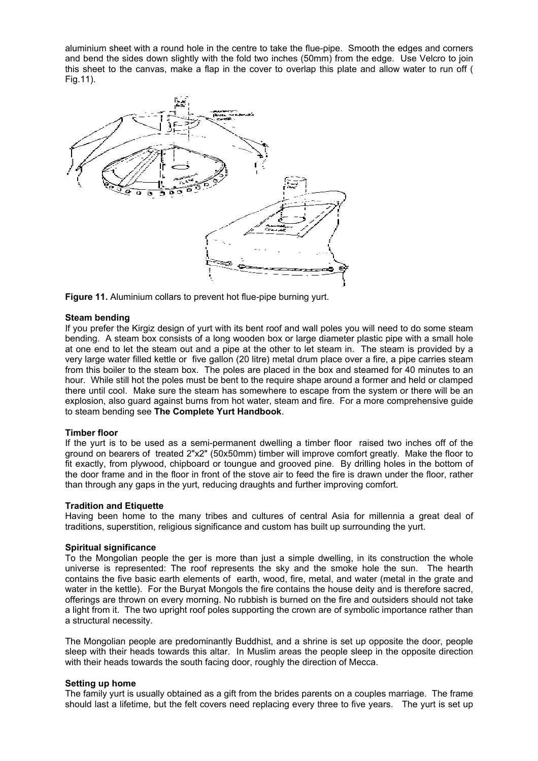aluminium sheet with a round hole in the centre to take the flue-pipe. Smooth the edges and corners and bend the sides down slightly with the fold two inches (50mm) from the edge. Use Velcro to join this sheet to the canvas, make a flap in the cover to overlap this plate and allow water to run off ( Fig.11).



**Figure 11.** Aluminium collars to prevent hot flue-pipe burning yurt.

#### **Steam bending**

If you prefer the Kirgiz design of yurt with its bent roof and wall poles you will need to do some steam bending. A steam box consists of a long wooden box or large diameter plastic pipe with a small hole at one end to let the steam out and a pipe at the other to let steam in. The steam is provided by a very large water filled kettle or five gallon (20 litre) metal drum place over a fire, a pipe carries steam from this boiler to the steam box. The poles are placed in the box and steamed for 40 minutes to an hour. While still hot the poles must be bent to the require shape around a former and held or clamped there until cool. Make sure the steam has somewhere to escape from the system or there will be an explosion, also guard against burns from hot water, steam and fire. For a more comprehensive guide to steam bending see **The Complete Yurt Handbook**.

#### **Timber floor**

If the yurt is to be used as a semi-permanent dwelling a timber floor raised two inches off of the ground on bearers of treated 2"x2" (50x50mm) timber will improve comfort greatly. Make the floor to fit exactly, from plywood, chipboard or toungue and grooved pine. By drilling holes in the bottom of the door frame and in the floor in front of the stove air to feed the fire is drawn under the floor, rather than through any gaps in the yurt, reducing draughts and further improving comfort.

#### **Tradition and Etiquette**

Having been home to the many tribes and cultures of central Asia for millennia a great deal of traditions, superstition, religious significance and custom has built up surrounding the yurt.

#### **Spiritual significance**

To the Mongolian people the ger is more than just a simple dwelling, in its construction the whole universe is represented: The roof represents the sky and the smoke hole the sun. The hearth contains the five basic earth elements of earth, wood, fire, metal, and water (metal in the grate and water in the kettle). For the Buryat Mongols the fire contains the house deity and is therefore sacred, offerings are thrown on every morning. No rubbish is burned on the fire and outsiders should not take a light from it. The two upright roof poles supporting the crown are of symbolic importance rather than a structural necessity.

The Mongolian people are predominantly Buddhist, and a shrine is set up opposite the door, people sleep with their heads towards this altar. In Muslim areas the people sleep in the opposite direction with their heads towards the south facing door, roughly the direction of Mecca.

#### **Setting up home**

The family yurt is usually obtained as a gift from the brides parents on a couples marriage. The frame should last a lifetime, but the felt covers need replacing every three to five years. The yurt is set up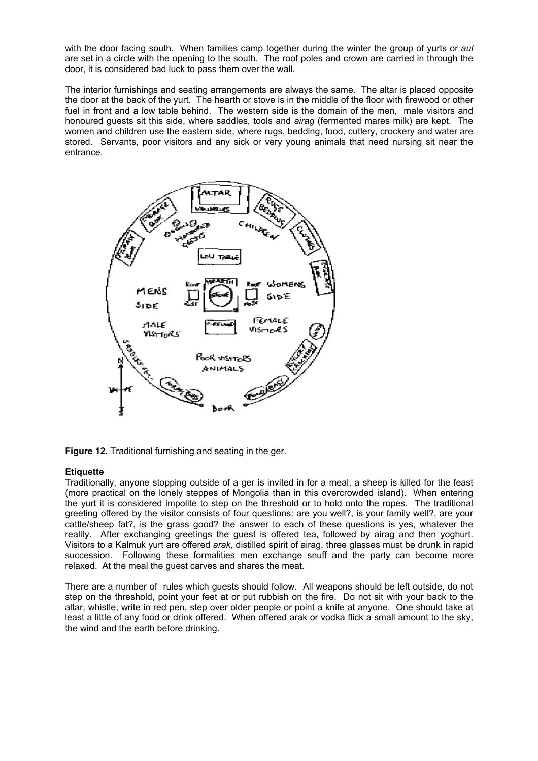with the door facing south. When families camp together during the winter the group of yurts or *aul* are set in a circle with the opening to the south. The roof poles and crown are carried in through the door, it is considered bad luck to pass them over the wall.

The interior furnishings and seating arrangements are always the same. The altar is placed opposite the door at the back of the yurt. The hearth or stove is in the middle of the floor with firewood or other fuel in front and a low table behind. The western side is the domain of the men, male visitors and honoured guests sit this side, where saddles, tools and *airag* (fermented mares milk) are kept. The women and children use the eastern side, where rugs, bedding, food, cutlery, crockery and water are stored. Servants, poor visitors and any sick or very young animals that need nursing sit near the entrance.



**Figure 12.** Traditional furnishing and seating in the ger.

#### **Etiquette**

Traditionally, anyone stopping outside of a ger is invited in for a meal, a sheep is killed for the feast (more practical on the lonely steppes of Mongolia than in this overcrowded island). When entering the yurt it is considered impolite to step on the threshold or to hold onto the ropes. The traditional greeting offered by the visitor consists of four questions: are you well?, is your family well?, are your cattle/sheep fat?, is the grass good? the answer to each of these questions is yes, whatever the reality. After exchanging greetings the guest is offered tea, followed by airag and then yoghurt. Visitors to a Kalmuk yurt are offered *arak,* distilled spirit of airag, three glasses must be drunk in rapid succession. Following these formalities men exchange snuff and the party can become more relaxed. At the meal the guest carves and shares the meat.

There are a number of rules which guests should follow. All weapons should be left outside, do not step on the threshold, point your feet at or put rubbish on the fire. Do not sit with your back to the altar, whistle, write in red pen, step over older people or point a knife at anyone. One should take at least a little of any food or drink offered. When offered arak or vodka flick a small amount to the sky, the wind and the earth before drinking.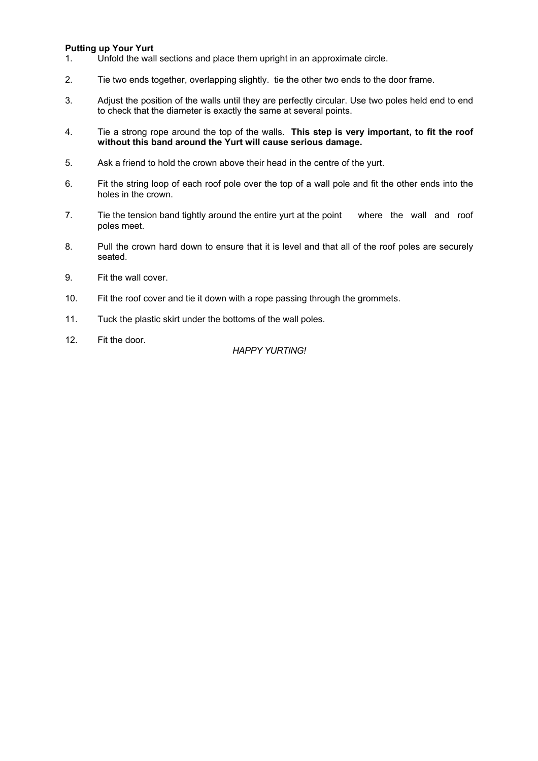#### **Putting up Your Yurt**

- 1. Unfold the wall sections and place them upright in an approximate circle.
- 2. Tie two ends together, overlapping slightly. tie the other two ends to the door frame.
- 3. Adjust the position of the walls until they are perfectly circular. Use two poles held end to end to check that the diameter is exactly the same at several points.
- 4. Tie a strong rope around the top of the walls. **This step is very important, to fit the roof without this band around the Yurt will cause serious damage.**
- 5. Ask a friend to hold the crown above their head in the centre of the yurt.
- 6. Fit the string loop of each roof pole over the top of a wall pole and fit the other ends into the holes in the crown.
- 7. Tie the tension band tightly around the entire yurt at the point where the wall and roof poles meet.
- 8. Pull the crown hard down to ensure that it is level and that all of the roof poles are securely seated.
- 9. Fit the wall cover.
- 10. Fit the roof cover and tie it down with a rope passing through the grommets.
- 11. Tuck the plastic skirt under the bottoms of the wall poles.
- 12. Fit the door.

#### *HAPPY YURTING!*